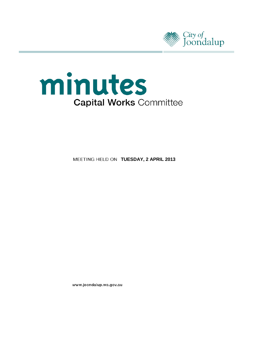



**MEETING HELD ON TUESDAY, 2 APRIL 2013** 

www.joondalup.wa.gov.au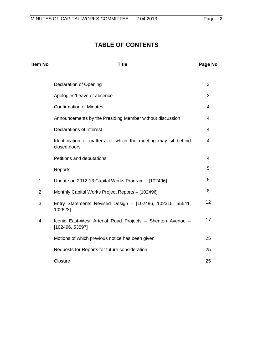# **TABLE OF CONTENTS**

| Item No        | <b>Title</b>                                                                   | Page No |
|----------------|--------------------------------------------------------------------------------|---------|
|                | <b>Declaration of Opening</b>                                                  | 3       |
|                | Apologies/Leave of absence                                                     | 3       |
|                | <b>Confirmation of Minutes</b>                                                 | 4       |
|                | Announcements by the Presiding Member without discussion                       | 4       |
|                | Declarations of Interest                                                       | 4       |
|                | Identification of matters for which the meeting may sit behind<br>closed doors | 4       |
|                | Petitions and deputations                                                      | 4       |
|                | Reports                                                                        | 5       |
| $\mathbf 1$    | Update on 2012-13 Capital Works Program - [102496]                             | 5       |
| $\overline{2}$ | Monthly Capital Works Project Reports - [102496]                               | 8       |
| 3              | Entry Statements Revised Design - [102496, 102315, 55541,<br>102623]           | 12      |
| 4              | Iconic East-West Arterial Road Projects - Shenton Avenue -<br>[102496, 53597]  | 17      |
|                | Motions of which previous notice has been given                                | 25      |
|                | Requests for Reports for future consideration                                  | 25      |
|                | Closure                                                                        | 25      |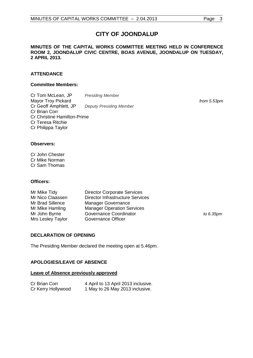# **CITY OF JOONDALUP**

#### **MINUTES OF THE CAPITAL WORKS COMMITTEE MEETING HELD IN CONFERENCE ROOM 2, JOONDALUP CIVIC CENTRE, BOAS AVENUE, JOONDALUP ON TUESDAY, 2 APRIL 2013.**

# **ATTENDANCE**

#### **Committee Members:**

Cr Tom McLean, JP *Presiding Member* Mayor Troy Pickard *from 5.53pm* Cr Geoff Amphlett, JP *Deputy Presiding Member* Cr Brian Corr Cr Christine Hamilton-Prime Cr Teresa Ritchie Cr Philippa Taylor

#### **Observers:**

Cr John Chester Cr Mike Norman Cr Sam Thomas

#### **Officers:**

| Mr Mike Tidy      | <b>Director Corporate Services</b>      |           |
|-------------------|-----------------------------------------|-----------|
| Mr Nico Claassen  | <b>Director Infrastructure Services</b> |           |
| Mr Brad Sillence  | <b>Manager Governance</b>               |           |
| Mr Mike Hamling   | <b>Manager Operation Services</b>       |           |
| Mr John Byrne     | Governance Coordinator                  | to 6.35pm |
| Mrs Lesley Taylor | Governance Officer                      |           |

# <span id="page-2-0"></span>**DECLARATION OF OPENING**

The Presiding Member declared the meeting open at 5.46pm.

# <span id="page-2-1"></span>**APOLOGIES/LEAVE OF ABSENCE**

#### **Leave of Absence previously approved**

| Cr Brian Corr      | 4 April to 13 April 2013 inclusive. |
|--------------------|-------------------------------------|
| Cr Kerry Hollywood | 1 May to 26 May 2013 inclusive.     |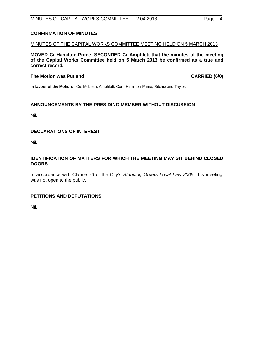# <span id="page-3-0"></span>**CONFIRMATION OF MINUTES**

#### MINUTES OF THE CAPITAL WORKS COMMITTEE MEETING HELD ON 5 MARCH 2013

**MOVED Cr Hamilton-Prime, SECONDED Cr Amphlett that the minutes of the meeting of the Capital Works Committee held on 5 March 2013 be confirmed as a true and correct record.**

#### **The Motion was Put and CARRIED (6/0)**

**In favour of the Motion:** Crs McLean, Amphlett, Corr, Hamilton-Prime, Ritchie and Taylor.

# <span id="page-3-1"></span>**ANNOUNCEMENTS BY THE PRESIDING MEMBER WITHOUT DISCUSSION**

Nil.

# <span id="page-3-2"></span>**DECLARATIONS OF INTEREST**

Nil.

#### <span id="page-3-3"></span>**IDENTIFICATION OF MATTERS FOR WHICH THE MEETING MAY SIT BEHIND CLOSED DOORS**

In accordance with Clause 76 of the City's *Standing Orders Local Law 2005*, this meeting was not open to the public.

# <span id="page-3-4"></span>**PETITIONS AND DEPUTATIONS**

Nil.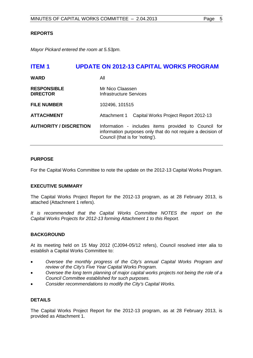# <span id="page-4-0"></span>**REPORTS**

*Mayor Pickard entered the room at 5.53pm.*

# <span id="page-4-1"></span>**ITEM 1 UPDATE ON 2012-13 CAPITAL WORKS PROGRAM**

| <b>WARD</b>                           | All                                                                                                                                                    |  |
|---------------------------------------|--------------------------------------------------------------------------------------------------------------------------------------------------------|--|
| <b>RESPONSIBLE</b><br><b>DIRECTOR</b> | Mr Nico Claassen<br>Infrastructure Services                                                                                                            |  |
| <b>FILE NUMBER</b>                    | 102496, 101515                                                                                                                                         |  |
| <b>ATTACHMENT</b>                     | Attachment 1 Capital Works Project Report 2012-13                                                                                                      |  |
| <b>AUTHORITY / DISCRETION</b>         | Information - includes items provided to Council for<br>information purposes only that do not require a decision of<br>Council (that is for 'noting'). |  |

#### **PURPOSE**

For the Capital Works Committee to note the update on the 2012-13 Capital Works Program.

# **EXECUTIVE SUMMARY**

The Capital Works Project Report for the 2012-13 program, as at 28 February 2013, is attached (Attachment 1 refers).

*It is recommended that the Capital Works Committee NOTES the report on the Capital Works Projects for 2012-13 forming Attachment 1 to this Report.*

# **BACKGROUND**

At its meeting held on 15 May 2012 (CJ094-05/12 refers), Council resolved inter alia to establish a Capital Works Committee to:

- *Oversee the monthly progress of the City's annual Capital Works Program and review of the City's Five Year Capital Works Program.*
- *Oversee the long term planning of major capital works projects not being the role of a Council Committee established for such purposes.*
- *Consider recommendations to modify the City's Capital Works.*

# **DETAILS**

The Capital Works Project Report for the 2012-13 program, as at 28 February 2013, is provided as Attachment 1.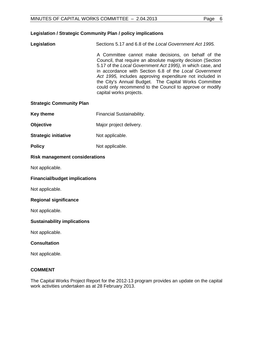| Legislation | Sections 5.17 and 6.8 of the Local Government Act 1995.                                                                                                                                                                                                                                                                                                                                                                                                 |
|-------------|---------------------------------------------------------------------------------------------------------------------------------------------------------------------------------------------------------------------------------------------------------------------------------------------------------------------------------------------------------------------------------------------------------------------------------------------------------|
|             | A Committee cannot make decisions, on behalf of the<br>Council, that require an absolute majority decision (Section<br>5.17 of the Local Government Act 1995), in which case, and<br>in accordance with Section 6.8 of the Local Government<br>Act 1995, includes approving expenditure not included in<br>the City's Annual Budget. The Capital Works Committee<br>could only recommend to the Council to approve or modify<br>capital works projects. |
|             |                                                                                                                                                                                                                                                                                                                                                                                                                                                         |

# **Strategic Community Plan**

- **Key theme** Financial Sustainability.
- **Objective** Major project delivery.
- **Strategic initiative** Not applicable.
- **Policy** Not applicable.

# **Risk management considerations**

Not applicable.

#### **Financial/budget implications**

Not applicable.

#### **Regional significance**

Not applicable.

# **Sustainability implications**

Not applicable.

# **Consultation**

Not applicable.

# **COMMENT**

The Capital Works Project Report for the 2012-13 program provides an update on the capital work activities undertaken as at 28 February 2013.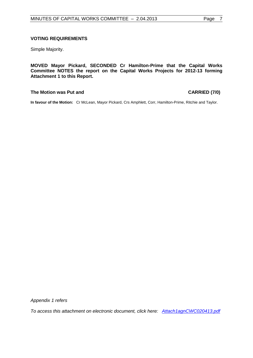#### **VOTING REQUIREMENTS**

Simple Majority.

**MOVED Mayor Pickard, SECONDED Cr Hamilton-Prime that the Capital Works Committee NOTES the report on the Capital Works Projects for 2012-13 forming Attachment 1 to this Report.**

# **The Motion was Put and CARRIED (7/0)**

**In favour of the Motion:** Cr McLean, Mayor Pickard, Crs Amphlett, Corr, Hamilton-Prime, Ritchie and Taylor.

*Appendix 1 refers*

*To access this attachment on electronic document, click here: [Attach1agnCWC020413.pdf](http://www.joondalup.wa.gov.au/files/committees/CWOC/2013/Attach1agnCWC020413.pdf)*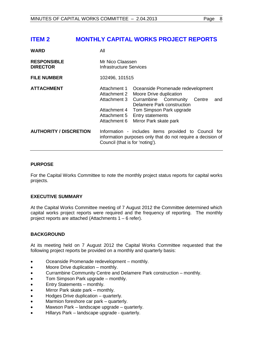# <span id="page-7-0"></span>**ITEM 2 MONTHLY CAPITAL WORKS PROJECT REPORTS**

| <b>WARD</b>                           | All                                                                                                                                                    |                                                                                                                                                                                                                      |
|---------------------------------------|--------------------------------------------------------------------------------------------------------------------------------------------------------|----------------------------------------------------------------------------------------------------------------------------------------------------------------------------------------------------------------------|
| <b>RESPONSIBLE</b><br><b>DIRECTOR</b> | Mr Nico Claassen<br>Infrastructure Services                                                                                                            |                                                                                                                                                                                                                      |
| <b>FILE NUMBER</b>                    | 102496, 101515                                                                                                                                         |                                                                                                                                                                                                                      |
| <b>ATTACHMENT</b>                     | Attachment 1<br>Attachment 2<br>Attachment 3<br>Attachment 4<br>Attachment 5<br>Attachment 6                                                           | Oceanside Promenade redevelopment<br>Moore Drive duplication<br>Currambine Community<br>Centre<br>and<br>Delamere Park construction<br>Tom Simpson Park upgrade<br><b>Entry statements</b><br>Mirror Park skate park |
| <b>AUTHORITY / DISCRETION</b>         | Information - includes items provided to Council for<br>information purposes only that do not require a decision of<br>Council (that is for 'noting'). |                                                                                                                                                                                                                      |

# **PURPOSE**

For the Capital Works Committee to note the monthly project status reports for capital works projects.

# **EXECUTIVE SUMMARY**

At the Capital Works Committee meeting of 7 August 2012 the Committee determined which capital works project reports were required and the frequency of reporting. The monthly project reports are attached (Attachments 1 – 6 refer).

# **BACKGROUND**

At its meeting held on 7 August 2012 the Capital Works Committee requested that the following project reports be provided on a monthly and quarterly basis:

- Oceanside Promenade redevelopment monthly.
- Moore Drive duplication monthly.
- Currambine Community Centre and Delamere Park construction monthly.
- Tom Simpson Park upgrade monthly.
- Entry Statements monthly.
- Mirror Park skate park monthly.
- Hodges Drive duplication quarterly.
- Marmion foreshore car park quarterly.
- Mawson Park landscape upgrade quarterly.
- Hillarys Park landscape upgrade quarterly.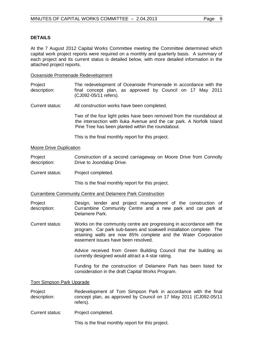# **DETAILS**

At the 7 August 2012 Capital Works Committee meeting the Committee determined which capital work project reports were required on a monthly and quarterly basis. A summary of each project and its current status is detailed below, with more detailed information in the attached project reports.

Oceanside Promenade Redevelopment

Project description: The redevelopment of Oceanside Promenade in accordance with the final concept plan, as approved by Council on 17 May 2011 (CJ092-05/11 refers).

Current status: All construction works have been completed.

Two of the four light poles have been removed from the roundabout at the intersection with Iluka Avenue and the car park. A Norfolk Island Pine Tree has been planted within the roundabout.

This is the final monthly report for this project.

#### Moore Drive Duplication

Project description: Construction of a second carriageway on Moore Drive from Connolly Drive to Joondalup Drive.

Current status: Project completed.

This is the final monthly report for this project.

Currambine Community Centre and Delamere Park Construction

- Project description: Design, tender and project management of the construction of Currambine Community Centre and a new park and car park at Delamere Park.
- Current status: Works on the community centre are progressing in accordance with the program. Car park sub-bases and soakwell installation complete. The retaining walls are now 85% complete and the Water Corporation easement issues have been resolved.

Advice received from Green Building Council that the building as currently designed would attract a 4-star rating.

Funding for the construction of Delamere Park has been listed for consideration in the draft Capital Works Program.

#### Tom Simpson Park Upgrade

Project description: Redevelopment of Tom Simpson Park in accordance with the final concept plan, as approved by Council on 17 May 2011 (CJ092-05/11 refers).

Current status: Project completed.

This is the final monthly report for this project.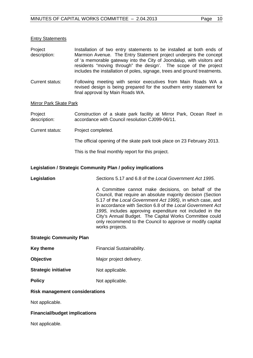#### Entry Statements

| Project      | Installation of two entry statements to be installed at both ends of                                                                          |
|--------------|-----------------------------------------------------------------------------------------------------------------------------------------------|
| description: | Marmion Avenue. The Entry Statement project underpins the concept<br>of 'a memorable gateway into the City of Joondalup, with visitors and    |
|              | residents "moving through" the design'. The scope of the project<br>includes the installation of poles, signage, trees and ground treatments. |
|              |                                                                                                                                               |

Current status: Following meeting with senior executives from Main Roads WA a revised design is being prepared for the southern entry statement for final approval by Main Roads WA.

#### Mirror Park Skate Park

Project description: Construction of a skate park facility at Mirror Park, Ocean Reef in accordance with Council resolution CJ099-06/11.

Current status: Project completed.

The official opening of the skate park took place on 23 February 2013.

This is the final monthly report for this project.

#### **Legislation / Strategic Community Plan / policy implications**

**Legislation** *S*ections 5.17 and 6.8 of the *Local Government Act 1995*.

A Committee cannot make decisions, on behalf of the Council, that require an absolute majority decision (Section 5.17 of the *Local Government Act 1995)*, in which case, and in accordance with Section 6.8 of the *Local Government Act 1995,* includes approving expenditure not included in the City's Annual Budget. The Capital Works Committee could only recommend to the Council to approve or modify capital works projects.

#### **Strategic Community Plan**

- **Key theme** Financial Sustainability.
- **Objective** Major project delivery.
- **Strategic initiative** Not applicable.
- **Policy** Not applicable.

# **Risk management considerations**

Not applicable.

# **Financial/budget implications**

Not applicable.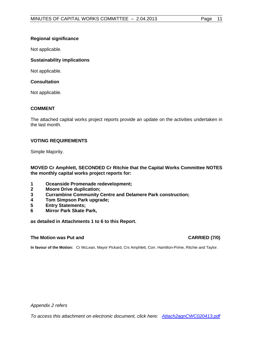# **Regional significance**

Not applicable.

# **Sustainability implications**

Not applicable.

# **Consultation**

Not applicable.

# **COMMENT**

The attached capital works project reports provide an update on the activities undertaken in the last month.

# **VOTING REQUIREMENTS**

Simple Majority.

**MOVED Cr Amphlett, SECONDED Cr Ritchie that the Capital Works Committee NOTES the monthly capital works project reports for:**

- **1 Oceanside Promenade redevelopment;**
- **2 Moore Drive duplication;**
- **3 Currambine Community Centre and Delamere Park construction;**
- **4 Tom Simpson Park upgrade;**
- **5 Entry Statements;**
- **6 Mirror Park Skate Park,**

**as detailed in Attachments 1 to 6 to this Report.**

# **The Motion was Put and CARRIED (7/0) CARRIED (7/0)**

**In favour of the Motion:** Cr McLean, Mayor Pickard, Crs Amphlett, Corr, Hamilton-Prime, Ritchie and Taylor.

*Appendix 2 refers*

*To access this attachment on electronic document, click here: [Attach2agnCWC020413.pdf](http://www.joondalup.wa.gov.au/files/committees/CWOC/2013/Attach2agnCWC020413.pdf)*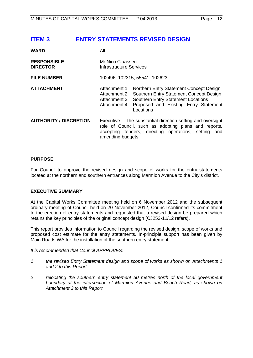# <span id="page-11-0"></span>**ITEM 3 ENTRY STATEMENTS REVISED DESIGN**

| WARD                                  | All                                                                                                                                                                                              |                                                                                                                                                                                       |
|---------------------------------------|--------------------------------------------------------------------------------------------------------------------------------------------------------------------------------------------------|---------------------------------------------------------------------------------------------------------------------------------------------------------------------------------------|
| <b>RESPONSIBLE</b><br><b>DIRECTOR</b> | Mr Nico Claassen<br>Infrastructure Services                                                                                                                                                      |                                                                                                                                                                                       |
| <b>FILE NUMBER</b>                    | 102496, 102315, 55541, 102623                                                                                                                                                                    |                                                                                                                                                                                       |
| <b>ATTACHMENT</b>                     | Attachment 1<br>Attachment 2<br>Attachment 3<br>Attachment 4                                                                                                                                     | Northern Entry Statement Concept Design<br>Southern Entry Statement Concept Design<br><b>Southern Entry Statement Locations</b><br>Proposed and Existing Entry Statement<br>Locations |
| <b>AUTHORITY / DISCRETION</b>         | Executive – The substantial direction setting and oversight<br>role of Council, such as adopting plans and reports,<br>accepting tenders, directing operations, setting and<br>amending budgets. |                                                                                                                                                                                       |

# **PURPOSE**

For Council to approve the revised design and scope of works for the entry statements located at the northern and southern entrances along Marmion Avenue to the City's district.

# **EXECUTIVE SUMMARY**

At the Capital Works Committee meeting held on 6 November 2012 and the subsequent ordinary meeting of Council held on 20 November 2012, Council confirmed its commitment to the erection of entry statements and requested that a revised design be prepared which retains the key principles of the original concept design (CJ253-11/12 refers).

This report provides information to Council regarding the revised design, scope of works and proposed cost estimate for the entry statements. In-principle support has been given by Main Roads WA for the installation of the southern entry statement.

*It is recommended that Council APPROVES:*

- *1 the revised Entry Statement design and scope of works as shown on Attachments 1 and 2 to this Report;*
- *2 relocating the southern entry statement 50 metres north of the local government boundary at the intersection of Marmion Avenue and Beach Road; as shown on Attachment 3 to this Report.*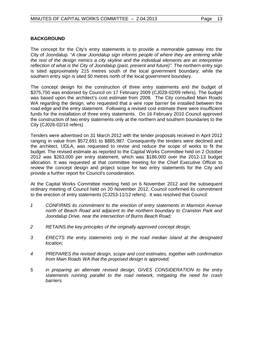# **BACKGROUND**

The concept for the City's entry statements is to provide a memorable gateway into the City of Joondalup*. "A clear Joondalup sign informs people of where they are entering while the rest of the design mimics a city skyline and the individual elements are an interpretive reflection of what is the City of Joondalup (past, present and future)"*. The northern entry sign is sited approximately 215 metres south of the local government boundary; while the southern entry sign is sited 50 metres north of the local government boundary.

The concept design for the construction of three entry statements and the budget of \$375,750 was endorsed by Council on 17 February 2009 (CJ028-02/09 refers). The budget was based upon the architect's cost estimate from 2008. The City consulted Main Roads WA regarding the design, who requested that a wire rope barrier be installed between the road edge and the entry statement. Following a revised cost estimate there were insufficient funds for the installation of three entry statements. On 16 February 2010 Council approved the construction of two entry statements only at the northern and southern boundaries to the City (CJ026-02/10 refers).

Tenders were advertised on 31 March 2012 with the tender proposals received in April 2012 ranging in value from \$572,691 to \$885,987. Consequently the tenders were declined and the architect, UDLA, was requested to revise and reduce the scope of works to fit the budget. The revised estimate as reported to the Capital Works Committee held on 2 October 2012 was \$263,000 per entry statement, which was \$186,000 over the 2012-13 budget allocation. It was requested at that committee meeting for the Chief Executive Officer to review the concept design and project scope for two entry statements for the City and provide a further report for Council's consideration.

At the Capital Works Committee meeting held on 6 November 2012 and the subsequent ordinary meeting of Council held on 20 November 2012, Council confirmed its commitment to the erection of entry statements (CJ253-11/12 refers). It was resolved that Council:

- *1 CONFIRMS its commitment to the erection of entry statements in Marmion Avenue north of Beach Road and adjacent to the northern boundary to Cranston Park and Joondalup Drive, near the intersection of Burns Beach Road;*
- *2 RETAINS the key principles of the originally approved concept design;*
- *3 ERECTS the entry statements only in the road median island at the designated location;*
- *4 PREPARES the revised design, scope and cost estimates, together with confirmation from Main Roads WA that the proposed design is approved;*
- *5 in preparing an alternate revised design, GIVES CONSIDERATION to the entry statements running parallel to the road network, mitigating the need for crash barriers.*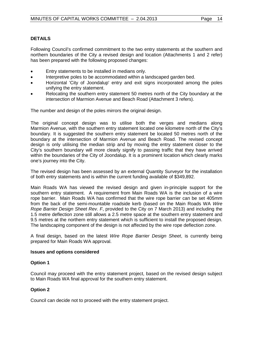# **DETAILS**

Following Council's confirmed commitment to the two entry statements at the southern and northern boundaries of the City a revised design and location (Attachments 1 and 2 refer) has been prepared with the following proposed changes:

- Entry statements to be installed in medians only.
- Interpretive poles to be accommodated within a landscaped garden bed.
- Horizontal 'City of Joondalup' entry and exit signs incorporated among the poles unifying the entry statement.
- Relocating the southern entry statement 50 metres north of the City boundary at the intersection of Marmion Avenue and Beach Road (Attachment 3 refers).

The number and design of the poles mirrors the original design.

The original concept design was to utilise both the verges and medians along Marmion Avenue, with the southern entry statement located one kilometre north of the City's boundary. It is suggested the southern entry statement be located 50 metres north of the boundary at the intersection of Marmion Avenue and Beach Road. The revised concept design is only utilising the median strip and by moving the entry statement closer to the City's southern boundary will more clearly signify to passing traffic that they have arrived within the boundaries of the City of Joondalup. It is a prominent location which clearly marks one's journey into the City.

The revised design has been assessed by an external Quantity Surveyor for the installation of both entry statements and is within the current funding available of \$349,892.

Main Roads WA has viewed the revised design and given in-principle support for the southern entry statement. A requirement from Main Roads WA is the inclusion of a wire rope barrier. Main Roads WA has confirmed that the wire rope barrier can be set 405mm from the back of the semi-mountable roadside kerb (based on the Main Roads WA *Wire Rope Barrier Design Sheet Rev. F*, provided to the City on 7 March 2013) and including the 1.5 metre deflection zone still allows a 2.5 metre space at the southern entry statement and 9.5 metres at the northern entry statement which is sufficient to install the proposed design. The landscaping component of the design is not affected by the wire rope deflection zone.

A final design, based on the latest *Wire Rope Barrier Design Sheet*, is currently being prepared for Main Roads WA approval.

#### **Issues and options considered**

# **Option 1**

Council may proceed with the entry statement project, based on the revised design subject to Main Roads WA final approval for the southern entry statement.

# **Option 2**

Council can decide not to proceed with the entry statement project.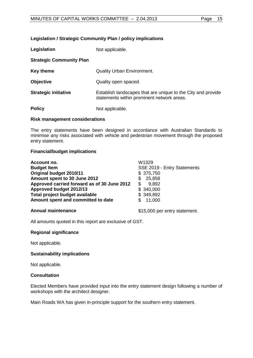#### **Legislation / Strategic Community Plan / policy implications**

| Legislation                     | Not applicable.                                                                                            |  |
|---------------------------------|------------------------------------------------------------------------------------------------------------|--|
| <b>Strategic Community Plan</b> |                                                                                                            |  |
| Key theme                       | <b>Quality Urban Environment.</b>                                                                          |  |
| <b>Objective</b>                | Quality open spaced.                                                                                       |  |
| <b>Strategic initiative</b>     | Establish landscapes that are unique to the City and provide<br>statements within prominent network areas. |  |
| <b>Policy</b>                   | Not applicable.                                                                                            |  |

#### **Risk management considerations**

The entry statements have been designed in accordance with Australian Standards to minimise any risks associated with vehicle and pedestrian movement through the proposed entry statement.

#### **Financial/budget implications**

| Account no.                                 | W1329                       |
|---------------------------------------------|-----------------------------|
| <b>Budget Item</b>                          | SSE 2019 - Entry Statements |
| Original budget 2010/11                     | \$375,750                   |
| Amount spent to 30 June 2012                | 25,858<br>S.                |
| Approved carried forward as of 30 June 2012 | 9,892<br>\$.                |
| Approved budget 2012/13                     | \$340,000                   |
| Total project budget available              | \$349,892                   |
| Amount spent and committed to date          | 11,000                      |
|                                             |                             |

**Annual maintenance 15,000 per entry statement.** 

All amounts quoted in this report are exclusive of GST.

#### **Regional significance**

Not applicable.

#### **Sustainability implications**

Not applicable.

#### **Consultation**

Elected Members have provided input into the entry statement design following a number of workshops with the architect designer.

Main Roads WA has given in-principle support for the southern entry statement.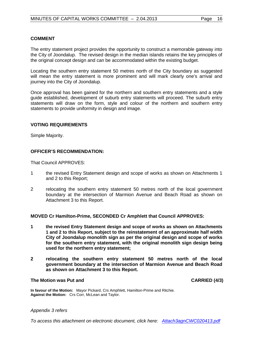# **COMMENT**

The entry statement project provides the opportunity to construct a memorable gateway into the City of Joondalup. The revised design in the median islands retains the key principles of the original concept design and can be accommodated within the existing budget.

Locating the southern entry statement 50 metres north of the City boundary as suggested will mean the entry statement is more prominent and will mark clearly one's arrival and journey into the City of Joondalup.

Once approval has been gained for the northern and southern entry statements and a style guide established, development of suburb entry statements will proceed. The suburb entry statements will draw on the form, style and colour of the northern and southern entry statements to provide uniformity in design and image.

# **VOTING REQUIREMENTS**

Simple Majority.

# **OFFICER'S RECOMMENDATION:**

That Council APPROVES:

- 1 the revised Entry Statement design and scope of works as shown on Attachments 1 and 2 to this Report;
- 2 relocating the southern entry statement 50 metres north of the local government boundary at the intersection of Marmion Avenue and Beach Road as shown on Attachment 3 to this Report.

#### **MOVED Cr Hamilton-Prime, SECONDED Cr Amphlett that Council APPROVES:**

- **1 the revised Entry Statement design and scope of works as shown on Attachments 1 and 2 to this Report, subject to the reinstatement of an approximate half width City of Joondalup monolith sign as per the original design and scope of works for the southern entry statement, with the original monolith sign design being used for the northern entry statement;**
- **2 relocating the southern entry statement 50 metres north of the local government boundary at the intersection of Marmion Avenue and Beach Road as shown on Attachment 3 to this Report.**

#### **The Motion was Put and CARRIED (4/3)**

**In favour of the Motion:** Mayor Pickard, Crs Amphlett, Hamilton-Prime and Ritchie. **Against the Motion:** Crs Corr, McLean and Taylor.

#### *Appendix 3 refers*

*To access this attachment on electronic document, click here: [Attach3agnCWC020413.pdf](http://www.joondalup.wa.gov.au/files/committees/CWOC/2013/Attach3agnCWC020413.pdf)*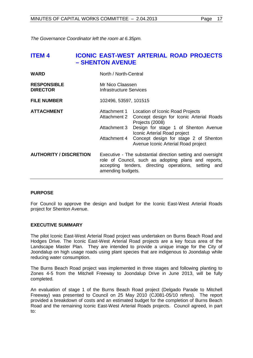*The Governance Coordinator left the room at 6.35pm.*

# <span id="page-16-0"></span>**ITEM 4 ICONIC EAST-WEST ARTERIAL ROAD PROJECTS – SHENTON AVENUE**

| <b>WARD</b>                           | North / North-Central                                                                                                                                                                            |                                                                                                                                                                                                                                                         |
|---------------------------------------|--------------------------------------------------------------------------------------------------------------------------------------------------------------------------------------------------|---------------------------------------------------------------------------------------------------------------------------------------------------------------------------------------------------------------------------------------------------------|
| <b>RESPONSIBLE</b><br><b>DIRECTOR</b> | Mr Nico Claassen<br>Infrastructure Services                                                                                                                                                      |                                                                                                                                                                                                                                                         |
| <b>FILE NUMBER</b>                    | 102496, 53597, 101515                                                                                                                                                                            |                                                                                                                                                                                                                                                         |
| <b>ATTACHMENT</b>                     | Attachment 1<br>Attachment 2<br>Attachment 3<br>Attachment 4                                                                                                                                     | Location of Iconic Road Projects<br>Concept design for Iconic Arterial Roads<br>Projects (2008)<br>Design for stage 1 of Shenton Avenue<br>Iconic Arterial Road project<br>Concept design for stage 2 of Shenton<br>Avenue Iconic Arterial Road project |
| <b>AUTHORITY / DISCRETION</b>         | Executive - The substantial direction setting and oversight<br>role of Council, such as adopting plans and reports,<br>accepting tenders, directing operations, setting and<br>amending budgets. |                                                                                                                                                                                                                                                         |

# **PURPOSE**

For Council to approve the design and budget for the Iconic East-West Arterial Roads project for Shenton Avenue.

# **EXECUTIVE SUMMARY**

The pilot Iconic East-West Arterial Road project was undertaken on Burns Beach Road and Hodges Drive. The Iconic East-West Arterial Road projects are a key focus area of the Landscape Master Plan. They are intended to provide a unique image for the City of Joondalup on high usage roads using plant species that are indigenous to Joondalup while reducing water consumption.

The Burns Beach Road project was implemented in three stages and following planting to Zones 4-5 from the Mitchell Freeway to Joondalup Drive in June 2013, will be fully completed.

An evaluation of stage 1 of the Burns Beach Road project (Delgado Parade to Mitchell Freeway) was presented to Council on 25 May 2010 (CJ081-05/10 refers). The report provided a breakdown of costs and an estimated budget for the completion of Burns Beach Road and the remaining Iconic East-West Arterial Roads projects. Council agreed, in part to: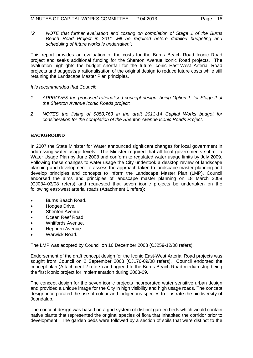*"2 NOTE that further evaluation and costing on completion of Stage 1 of the Burns Beach Road Project in 2011 will be required before detailed budgeting and scheduling of future works is undertaken";*

This report provides an evaluation of the costs for the Burns Beach Road Iconic Road project and seeks additional funding for the Shenton Avenue Iconic Road projects. The evaluation highlights the budget shortfall for the future Iconic East-West Arterial Road projects and suggests a rationalisation of the original design to reduce future costs while still retaining the Landscape Master Plan principles.

*It is recommended that Council:*

- *1 APPROVES the proposed rationalised concept design, being Option 1, for Stage 2 of the Shenton Avenue Iconic Roads project;*
- *2 NOTES the listing of \$850,763 in the draft 2013-14 Capital Works budget for consideration for the completion of the Shenton Avenue Iconic Roads Project.*

# **BACKGROUND**

In 2007 the State Minister for Water announced significant changes for local government in addressing water usage levels. The Minister required that all local governments submit a Water Usage Plan by June 2008 and conform to regulated water usage limits by July 2009. Following these changes to water usage the City undertook a desktop review of landscape planning and development to assess the approach taken to landscape master planning and develop principles and concepts to inform the Landscape Master Plan (LMP). Council endorsed the aims and principles of landscape master planning on 18 March 2008 (CJ034-03/08 refers) and requested that seven iconic projects be undertaken on the following east-west arterial roads (Attachment 1 refers):

- Burns Beach Road.
- **Hodges Drive.**
- Shenton Avenue.
- Ocean Reef Road.
- Whitfords Avenue.
- Hepburn Avenue.
- Warwick Road.

The LMP was adopted by Council on 16 December 2008 (CJ259-12/08 refers).

Endorsement of the draft concept design for the Iconic East-West Arterial Road projects was sought from Council on 2 September 2008 (CJ176-09/08 refers). Council endorsed the concept plan (Attachment 2 refers) and agreed to the Burns Beach Road median strip being the first iconic project for implementation during 2008-09.

The concept design for the seven iconic projects incorporated water sensitive urban design and provided a unique image for the City in high visibility and high usage roads. The concept design incorporated the use of colour and indigenous species to illustrate the biodiversity of Joondalup.

The concept design was based on a grid system of distinct garden beds which would contain native plants that represented the original species of flora that inhabited the corridor prior to development. The garden beds were followed by a section of soils that were distinct to the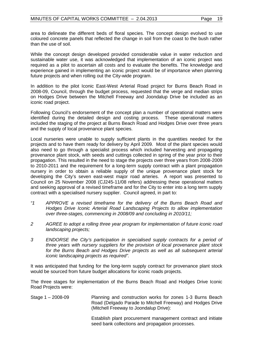area to delineate the different beds of floral species. The concept design evolved to use coloured concrete panels that reflected the change in soil from the coast to the bush rather than the use of soil.

While the concept design developed provided considerable value in water reduction and sustainable water use, it was acknowledged that implementation of an iconic project was required as a pilot to ascertain all costs and to evaluate the benefits. The knowledge and experience gained in implementing an iconic project would be of importance when planning future projects and when rolling out the City-wide program.

In addition to the pilot Iconic East-West Arterial Road project for Burns Beach Road in 2008-09, Council, through the budget process, requested that the verge and median strips on Hodges Drive between the Mitchell Freeway and Joondalup Drive be included as an iconic road project.

Following Council's endorsement of the concept plan a number of operational matters were identified during the detailed design and costing process. These operational matters included the staging of the project at Burns Beach Road and Hodges Drive over three years and the supply of local provenance plant species.

Local nurseries were unable to supply sufficient plants in the quantities needed for the projects and to have them ready for delivery by April 2009. Most of the plant species would also need to go through a specialist process which included harvesting and propagating provenance plant stock, with seeds and cuttings collected in spring of the year prior to their propagation. This resulted in the need to stage the projects over three years from 2008-2009 to 2010-2011 and the requirement for a long-term supply contract with a plant propagation nursery in order to obtain a reliable supply of the unique provenance plant stock for developing the City's seven east-west major road arteries. A report was presented to Council on 25 November 2008 (CJ245-11/08 refers) addressing these operational matters and seeking approval of a revised timeframe and for the City to enter into a long term supply contract with a specialised nursery supplier. Council agreed, in part to:

- *"1 APPROVE a revised timeframe for the delivery of the Burns Beach Road and Hodges Drive Iconic Arterial Road Landscaping Projects to allow implementation over three-stages, commencing in 2008/09 and concluding in 2010/11;*
- *2 AGREE to adopt a rolling three year program for implementation of future iconic road landscaping projects;*
- *3 ENDORSE the City's participation in specialised supply contracts for a period of three years with nursery suppliers for the provision of local provenance plant stock for the Burns Beach and Hodges Drive projects as well as all subsequent arterial iconic landscaping projects as required".*

It was anticipated that funding for the long-term supply contract for provenance plant stock would be sourced from future budget allocations for iconic roads projects.

The three stages for implementation of the Burns Beach Road and Hodges Drive Iconic Road Projects were:

Stage 1 – 2008-09 Planning and construction works for zones 1-3 Burns Beach Road (Delgado Parade to Mitchell Freeway) and Hodges Drive (Mitchell Freeway to Joondalup Drive):

Establish plant procurement management contract and initiate seed bank collections and propagation processes.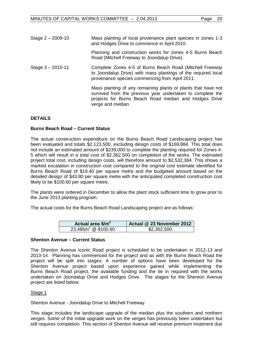| Mass planting of local provenance plant species in zones 1-3<br>and Hodges Drive to commence in April 2010.                                                                                               |
|-----------------------------------------------------------------------------------------------------------------------------------------------------------------------------------------------------------|
| Planning and construction works for zones 4-5 Burns Beach<br>Road (Mitchell Freeway to Joondalup Drive).                                                                                                  |
| Complete Zones 4-5 of Burns Beach Road (Mitchell Freeway<br>to Joondalup Drive) with mass plantings of the required local<br>provenance species commencing from April 2011.                               |
| Mass planting of any remaining plants or plants that have not<br>survived from the previous year undertaken to complete the<br>projects for Burns Beach Road median and Hodges Drive<br>verge and median. |
|                                                                                                                                                                                                           |

# **DETAILS**

# **Burns Beach Road – Current Status**

The actual construction expenditure on the Burns Beach Road Landscaping project has been evaluated and totals \$2,123,500, excluding design costs of \$169,884. This total does not include an estimated amount of \$239,000 to complete the planting required for Zones 4- 5 which will result in a total cost of \$2,362,500 on completion of the works. The estimated project total cost, including design costs, will therefore amount to \$2,532,384. This shows a marked escalation in construction cost compared to the original cost estimate identified for Burns Beach Road of \$19.40 per square metre and the budgeted amount based on the detailed design of \$43.80 per square metre with the anticipated completed construction cost likely to be \$100.60 per square metre.

The plants were ordered in December to allow the plant stock sufficient time to grow prior to the June 2013 planting program.

The actual costs for the Burns Beach Road Landscaping project are as follows:

| Actual area \$/m <sup>2</sup>  | Actual @ 23 November 2012 |
|--------------------------------|---------------------------|
| $23,485m^2 \text{ @ } $100.60$ | \$2,362,500               |

#### **Shenton Avenue – Current Status**

The Shenton Avenue Iconic Road project is scheduled to be undertaken in 2012-13 and 2013-14. Planning has commenced for the project and as with the Burns Beach Road the project will be split into stages. A number of options have been developed for the Shenton Avenue project based upon experience gained while implementing the Burns Beach Road project, the available funding and the tie in required with the works undertaken on Joondalup Drive and Hodges Drive. The stages for the Shenton Avenue project are listed below:

#### Stage 1

Shenton Avenue - Joondalup Drive to Mitchell Freeway

This stage includes the landscape upgrade of the median plus the southern and northern verges. Some of the initial upgrade work on the verges has previously been undertaken but still requires completion. This section of Shenton Avenue will receive premium treatment due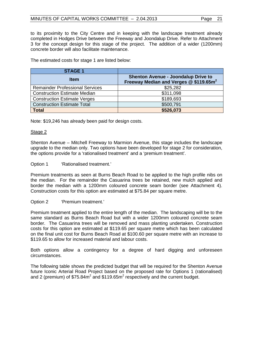to its proximity to the City Centre and in keeping with the landscape treatment already completed in Hodges Drive between the Freeway and Joondalup Drive. Refer to Attachment 3 for the concept design for this stage of the project. The addition of a wider (1200mm) concrete border will also facilitate maintenance.

The estimated costs for stage 1 are listed below:

| <b>STAGE 1</b>                         |                                                                                                  |
|----------------------------------------|--------------------------------------------------------------------------------------------------|
| <b>Item</b>                            | <b>Shenton Avenue - Joondalup Drive to</b><br>Freeway Median and Verges @ \$119.65m <sup>2</sup> |
| <b>Remainder Professional Services</b> | \$25,282                                                                                         |
| <b>Construction Estimate Median</b>    | \$311,098                                                                                        |
| <b>Construction Estimate Verges</b>    | \$189,693                                                                                        |
| <b>Construction Estimate Total</b>     | \$500,791                                                                                        |
| <b>Total</b>                           | \$526,073                                                                                        |

Note: \$19,246 has already been paid for design costs.

# Stage 2

Shenton Avenue – Mitchell Freeway to Marmion Avenue, this stage includes the landscape upgrade to the median only. Two options have been developed for stage 2 for consideration, the options provide for a 'rationalised treatment' and a 'premium treatment'.

# Option 1 **'Rationalised treatment.'**

Premium treatments as seen at Burns Beach Road to be applied to the high profile nibs on the median. For the remainder the Casuarina trees be retained, new mulch applied and border the median with a 1200mm coloured concrete seam border (see Attachment 4). Construction costs for this option are estimated at \$75.84 per square metre.

# Option 2 'Premium treatment.'

Premium treatment applied to the entire length of the median. The landscaping will be to the same standard as Burns Beach Road but with a wider 1200mm coloured concrete seam border. The Casuarina trees will be removed and mass planting undertaken. Construction costs for this option are estimated at \$119.65 per square metre which has been calculated on the final unit cost for Burns Beach Road at \$100.60 per square metre with an increase to \$119.65 to allow for increased material and labour costs.

Both options allow a contingency for a degree of hard digging and unforeseen circumstances.

The following table shows the predicted budget that will be required for the Shenton Avenue future Iconic Arterial Road Project based on the proposed rate for Options 1 (rationalised) and 2 (premium) of  $$75.84m<sup>2</sup>$  and  $$119.65m<sup>2</sup>$  respectively and the current budget.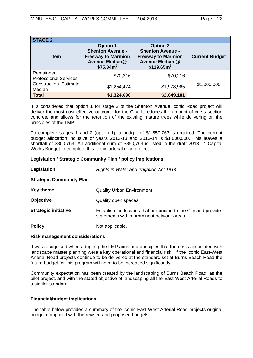| <b>STAGE 2</b>                            |                                                                                                                    |                                                                                                                      |                       |  |  |  |
|-------------------------------------------|--------------------------------------------------------------------------------------------------------------------|----------------------------------------------------------------------------------------------------------------------|-----------------------|--|--|--|
| <b>Item</b>                               | <b>Option 1</b><br><b>Shenton Avenue -</b><br><b>Freeway to Marmion</b><br>Avenue Median@<br>\$75.84m <sup>2</sup> | <b>Option 2</b><br><b>Shenton Avenue -</b><br><b>Freeway to Marmion</b><br>Avenue Median @<br>\$119.65m <sup>2</sup> | <b>Current Budget</b> |  |  |  |
| Remainder<br><b>Professional Services</b> | \$70,216                                                                                                           | \$70,216                                                                                                             |                       |  |  |  |
| <b>Construction Estimate</b><br>Median    | \$1,254,474                                                                                                        | \$1,978,965                                                                                                          | \$1,000,000           |  |  |  |
| <b>Total</b>                              | \$1,324,690                                                                                                        | \$2,049,181                                                                                                          |                       |  |  |  |

It is considered that option 1 for stage 2 of the Shenton Avenue Iconic Road project will deliver the most cost effective outcome for the City. It reduces the amount of cross section concrete and allows for the retention of the existing mature trees while delivering on the principles of the LMP.

To complete stages 1 and 2 (option 1), a budget of \$1,850,763 is required. The current budget allocation inclusive of years 2012-13 and 2013-14 is \$1,000,000. This leaves a shortfall of \$850,763. An additional sum of \$850,763 is listed in the draft 2013-14 Capital Works Budget to complete this iconic arterial road project.

#### **Legislation / Strategic Community Plan / policy implications**

| Legislation                     | Rights in Water and Irrigation Act 1914.                                                                   |  |
|---------------------------------|------------------------------------------------------------------------------------------------------------|--|
| <b>Strategic Community Plan</b> |                                                                                                            |  |
| <b>Key theme</b>                | <b>Quality Urban Environment.</b>                                                                          |  |
| <b>Objective</b>                | Quality open spaces.                                                                                       |  |
| <b>Strategic initiative</b>     | Establish landscapes that are unique to the City and provide<br>statements within prominent network areas. |  |
| <b>Policy</b>                   | Not applicable.                                                                                            |  |

#### **Risk management considerations**

It was recognised when adopting the LMP aims and principles that the costs associated with landscape master planning were a key operational and financial risk. If the Iconic East-West Arterial Road projects continue to be delivered at the standard set at Burns Beach Road the future budget for this program will need to be increased significantly.

Community expectation has been created by the landscaping of Burns Beach Road, as the pilot project, and with the stated objective of landscaping all the East-West Arterial Roads to a similar standard.

# **Financial/budget implications**

The table below provides a summary of the Iconic East-West Arterial Road projects original budget compared with the revised and proposed budgets.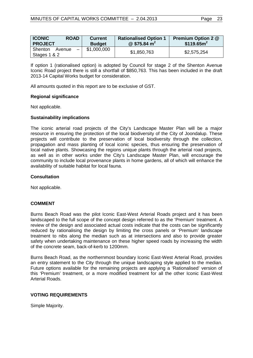| <b>ICONIC</b><br><b>ROAD</b><br><b>PROJECT</b>                | <b>Current</b><br><b>Budget</b> | <b>Rationalised Option 1</b><br>@ \$75.84 $m2$ | <b>Premium Option 2 @</b><br>\$119.65m <sup>2</sup> |
|---------------------------------------------------------------|---------------------------------|------------------------------------------------|-----------------------------------------------------|
| Shenton<br>Avenue<br>$\overline{\phantom{0}}$<br>Stages 1 & 2 | \$1,000,000                     | \$1,850,763                                    | \$2,575,254                                         |

If option 1 (rationalised option) is adopted by Council for stage 2 of the Shenton Avenue Iconic Road project there is still a shortfall of \$850,763. This has been included in the draft 2013-14 Capital Works budget for consideration.

All amounts quoted in this report are to be exclusive of GST.

# **Regional significance**

Not applicable.

# **Sustainability implications**

The iconic arterial road projects of the City's Landscape Master Plan will be a major resource in ensuring the protection of the local biodiversity of the City of Joondalup. These projects will contribute to the preservation of local biodiversity through the collection, propagation and mass planting of local iconic species, thus ensuring the preservation of local native plants. Showcasing the regions unique plants through the arterial road projects, as well as in other works under the City's Landscape Master Plan, will encourage the community to include local provenance plants in home gardens, all of which will enhance the availability of suitable habitat for local fauna.

# **Consultation**

Not applicable.

# **COMMENT**

Burns Beach Road was the pilot Iconic East-West Arterial Roads project and it has been landscaped to the full scope of the concept design referred to as the 'Premium' treatment. A review of the design and associated actual costs indicate that the costs can be significantly reduced by rationalising the design by limiting the cross panels or 'Premium' landscape treatment to nibs along the median such as at intersections and also to provide greater safety when undertaking maintenance on these higher speed roads by increasing the width of the concrete seam, back-of-kerb to 1200mm.

Burns Beach Road, as the northernmost boundary Iconic East-West Arterial Road, provides an entry statement to the City through the unique landscaping style applied to the median. Future options available for the remaining projects are applying a 'Rationalised' version of this 'Premium' treatment, or a more modified treatment for all the other Iconic East-West Arterial Roads.

# **VOTING REQUIREMENTS**

Simple Majority.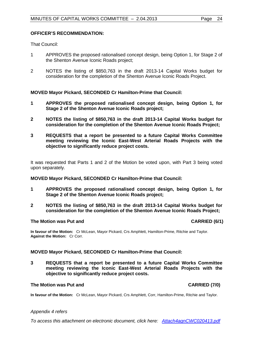That Council:

- 1 APPROVES the proposed rationalised concept design, being Option 1, for Stage 2 of the Shenton Avenue Iconic Roads project;
- 2 NOTES the listing of \$850,763 in the draft 2013-14 Capital Works budget for consideration for the completion of the Shenton Avenue Iconic Roads Project.

# **MOVED Mayor Pickard, SECONDED Cr Hamilton-Prime that Council:**

- **1 APPROVES the proposed rationalised concept design, being Option 1, for Stage 2 of the Shenton Avenue Iconic Roads project;**
- **2 NOTES the listing of \$850,763 in the draft 2013-14 Capital Works budget for consideration for the completion of the Shenton Avenue Iconic Roads Project;**
- **3 REQUESTS that a report be presented to a future Capital Works Committee meeting reviewing the Iconic East-West Arterial Roads Projects with the objective to significantly reduce project costs.**

It was requested that Parts 1 and 2 of the Motion be voted upon, with Part 3 being voted upon separately.

#### **MOVED Mayor Pickard, SECONDED Cr Hamilton-Prime that Council:**

- **1 APPROVES the proposed rationalised concept design, being Option 1, for Stage 2 of the Shenton Avenue Iconic Roads project;**
- **2 NOTES the listing of \$850,763 in the draft 2013-14 Capital Works budget for consideration for the completion of the Shenton Avenue Iconic Roads Project;**

#### **The Motion was Put and CARRIED (6/1)**

**In favour of the Motion:** Cr McLean, Mayor Pickard, Crs Amphlett, Hamilton-Prime, Ritchie and Taylor. **Against the Motion:** Cr Corr.

#### **MOVED Mayor Pickard, SECONDED Cr Hamilton-Prime that Council:**

**3 REQUESTS that a report be presented to a future Capital Works Committee meeting reviewing the Iconic East-West Arterial Roads Projects with the objective to significantly reduce project costs.**

#### **The Motion was Put and CARRIED (7/0)**

**In favour of the Motion:** Cr McLean, Mayor Pickard, Crs Amphlett, Corr, Hamilton-Prime, Ritchie and Taylor.

#### *Appendix 4 refers*

*To access this attachment on electronic document, click here: [Attach4agnCWC020413.pdf](http://www.joondalup.wa.gov.au/files/committees/CWOC/2013/Attach4agnCWC020413.pdf)*